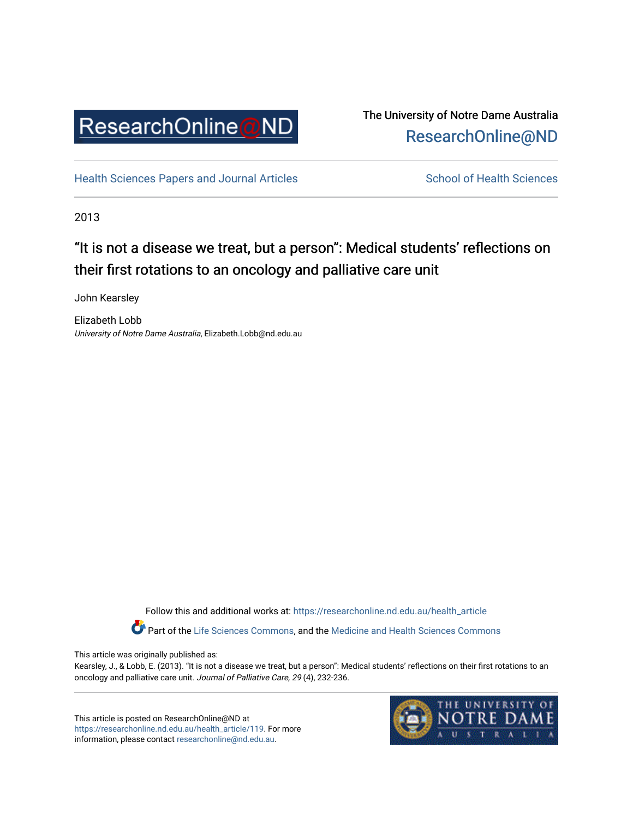

### The University of Notre Dame Australia [ResearchOnline@ND](https://researchonline.nd.edu.au/)

[Health Sciences Papers and Journal Articles](https://researchonline.nd.edu.au/health_article) School of Health Sciences

2013

## "It is not a disease we treat, but a person": Medical students' reflections on their first rotations to an oncology and palliative care unit

John Kearsley

Elizabeth Lobb University of Notre Dame Australia, Elizabeth.Lobb@nd.edu.au

> Follow this and additional works at: [https://researchonline.nd.edu.au/health\\_article](https://researchonline.nd.edu.au/health_article?utm_source=researchonline.nd.edu.au%2Fhealth_article%2F119&utm_medium=PDF&utm_campaign=PDFCoverPages) Part of the [Life Sciences Commons](http://network.bepress.com/hgg/discipline/1016?utm_source=researchonline.nd.edu.au%2Fhealth_article%2F119&utm_medium=PDF&utm_campaign=PDFCoverPages), and the Medicine and Health Sciences Commons

This article was originally published as:

Kearsley, J., & Lobb, E. (2013). "It is not a disease we treat, but a person": Medical students' reflections on their first rotations to an oncology and palliative care unit. Journal of Palliative Care, 29 (4), 232-236.

This article is posted on ResearchOnline@ND at [https://researchonline.nd.edu.au/health\\_article/119](https://researchonline.nd.edu.au/health_article/119). For more information, please contact [researchonline@nd.edu.au.](mailto:researchonline@nd.edu.au)

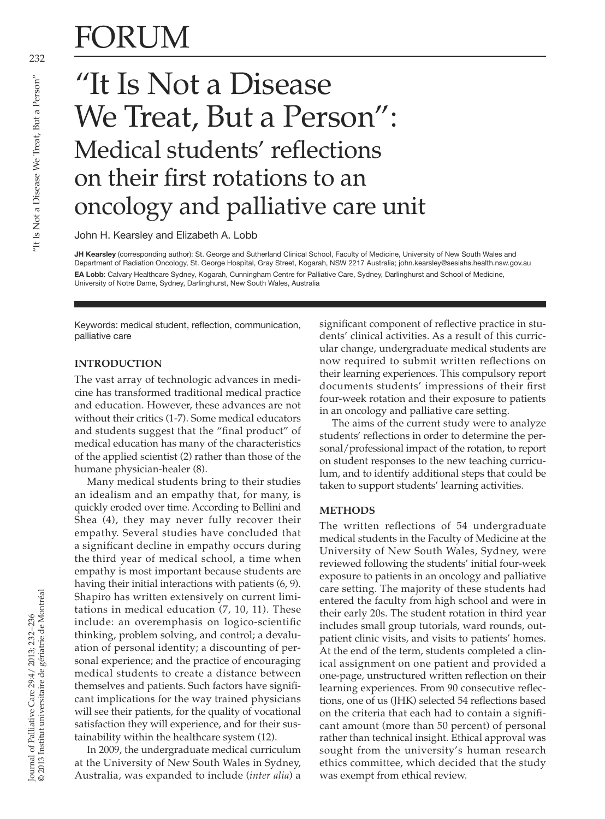# FORUM

## "It Is Not a Disease We Treat, But a Person": Medical students' reflections on their first rotations to an oncology and palliative care unit

John H. Kearsley and Elizabeth A. Lobb

**JH Kearsley** (corresponding author): St. George and Sutherland Clinical School, Faculty of Medicine, University of New South Wales and Department of Radiation Oncology, St. George Hospital, Gray Street, Kogarah, NSW 2217 Australia; john.kearsley@sesiahs.health.nsw.gov.au **EA Lobb**: Calvary Healthcare Sydney, Kogarah, Cunningham Centre for Palliative Care, Sydney, Darlinghurst and School of Medicine, University of Notre Dame, Sydney, Darlinghurst, New South Wales, Australia

Keywords: medical student, reflection, communication, palliative care

#### **INTRODUCTION**

The vast array of technologic advances in medicine has transformed traditional medical practice and education. However, these advances are not without their critics (1-7). Some medical educators and students suggest that the "final product" of medical education has many of the characteristics of the applied scientist (2) rather than those of the humane physician-healer (8).

Many medical students bring to their studies an idealism and an empathy that, for many, is quickly eroded over time. According to Bellini and Shea (4), they may never fully recover their empathy. Several studies have concluded that a significant decline in empathy occurs during the third year of medical school, a time when empathy is most important because students are having their initial interactions with patients (6, 9). Shapiro has written extensively on current limitations in medical education (7, 10, 11). These include: an overemphasis on logico-scientific thinking, problem solving, and control; a devaluation of personal identity; a discounting of personal experience; and the practice of encouraging medical students to create a distance between themselves and patients. Such factors have significant implications for the way trained physicians will see their patients, for the quality of vocational satisfaction they will experience, and for their sustainability within the healthcare system (12).

In 2009, the undergraduate medical curriculum at the University of New South Wales in Sydney, Australia, was expanded to include (*inter alia*) a significant component of reflective practice in students' clinical activities. As a result of this curricular change, undergraduate medical students are now required to submit written reflections on their learning experiences. This compulsory report documents students' impressions of their first four-week rotation and their exposure to patients in an oncology and palliative care setting.

The aims of the current study were to analyze students' reflections in order to determine the personal/professional impact of the rotation, to report on student responses to the new teaching curriculum, and to identify additional steps that could be taken to support students' learning activities.

#### **METHODS**

The written reflections of 54 undergraduate medical students in the Faculty of Medicine at the University of New South Wales, Sydney, were reviewed following the students' initial four-week exposure to patients in an oncology and palliative care setting. The majority of these students had entered the faculty from high school and were in their early 20s. The student rotation in third year includes small group tutorials, ward rounds, outpatient clinic visits, and visits to patients' homes. At the end of the term, students completed a clinical assignment on one patient and provided a one-page, unstructured written reflection on their learning experiences. From 90 consecutive reflections, one of us (JHK) selected 54 reflections based on the criteria that each had to contain a significant amount (more than 50 percent) of personal rather than technical insight. Ethical approval was sought from the university's human research ethics committee, which decided that the study was exempt from ethical review.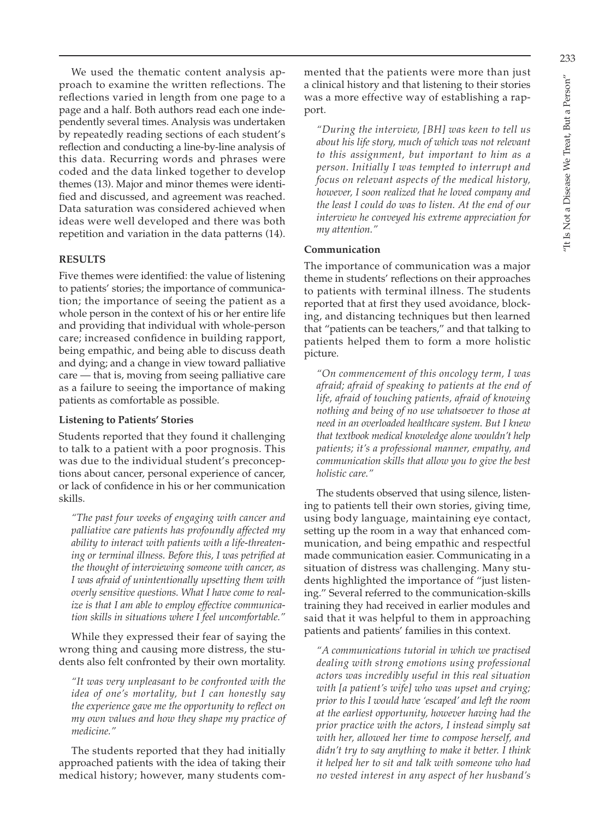We used the thematic content analysis approach to examine the written reflections. The reflections varied in length from one page to a page and a half. Both authors read each one independently several times. Analysis was undertaken by repeatedly reading sections of each student's reflection and conducting a line-by-line analysis of this data. Recurring words and phrases were coded and the data linked together to develop themes (13). Major and minor themes were identified and discussed, and agreement was reached. Data saturation was considered achieved when ideas were well developed and there was both repetition and variation in the data patterns (14).

#### **RESULTS**

Five themes were identified: the value of listening to patients' stories; the importance of communication; the importance of seeing the patient as a whole person in the context of his or her entire life and providing that individual with whole-person care; increased confidence in building rapport, being empathic, and being able to discuss death and dying; and a change in view toward palliative care — that is, moving from seeing palliative care as a failure to seeing the importance of making patients as comfortable as possible.

#### **Listening to Patients' Stories**

Students reported that they found it challenging to talk to a patient with a poor prognosis. This was due to the individual student's preconceptions about cancer, personal experience of cancer, or lack of confidence in his or her communication skills.

*"The past four weeks of engaging with cancer and palliative care patients has profoundly affected my ability to interact with patients with a life-threatening or terminal illness. Before this, I was petrified at the thought of interviewing someone with cancer, as I was afraid of unintentionally upsetting them with overly sensitive questions. What I have come to realize is that I am able to employ effective communication skills in situations where I feel uncomfortable."*

While they expressed their fear of saying the wrong thing and causing more distress, the students also felt confronted by their own mortality.

*"It was very unpleasant to be confronted with the idea of one's mortality, but I can honestly say the experience gave me the opportunity to reflect on my own values and how they shape my practice of medicine."*

The students reported that they had initially approached patients with the idea of taking their medical history; however, many students commented that the patients were more than just a clinical history and that listening to their stories was a more effective way of establishing a rapport.

*"During the interview, [BH] was keen to tell us about his life story, much of which was not relevant to this assignment, but important to him as a person. Initially I was tempted to interrupt and focus on relevant aspects of the medical history, however, I soon realized that he loved company and the least I could do was to listen. At the end of our interview he conveyed his extreme appreciation for my attention."*

#### **Communication**

The importance of communication was a major theme in students' reflections on their approaches to patients with terminal illness. The students reported that at first they used avoidance, blocking, and distancing techniques but then learned that "patients can be teachers," and that talking to patients helped them to form a more holistic picture.

*"On commencement of this oncology term, I was afraid; afraid of speaking to patients at the end of life, afraid of touching patients, afraid of knowing nothing and being of no use whatsoever to those at need in an overloaded healthcare system. But I knew that textbook medical knowledge alone wouldn't help patients; it's a professional manner, empathy, and communication skills that allow you to give the best holistic care."*

The students observed that using silence, listening to patients tell their own stories, giving time, using body language, maintaining eye contact, setting up the room in a way that enhanced communication, and being empathic and respectful made communication easier. Communicating in a situation of distress was challenging. Many students highlighted the importance of "just listening." Several referred to the communication-skills training they had received in earlier modules and said that it was helpful to them in approaching patients and patients' families in this context.

*"A communications tutorial in which we practised dealing with strong emotions using professional actors was incredibly useful in this real situation with [a patient's wife] who was upset and crying; prior to this I would have 'escaped' and left the room at the earliest opportunity, however having had the prior practice with the actors, I instead simply sat with her, allowed her time to compose herself, and didn't try to say anything to make it better. I think it helped her to sit and talk with someone who had no vested interest in any aspect of her husband's*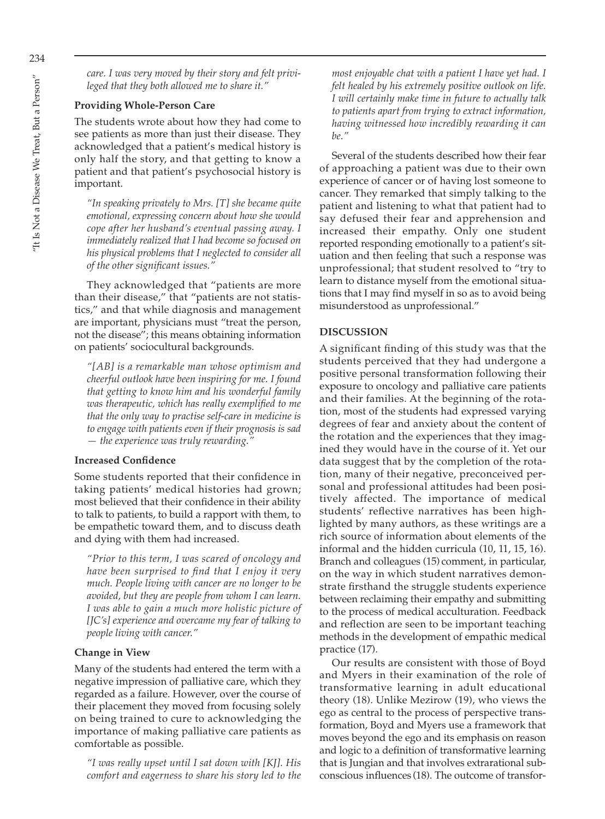*care. I was very moved by their story and felt privileged that they both allowed me to share it."*

#### **Providing Whole-Person Care**

The students wrote about how they had come to see patients as more than just their disease. They acknowledged that a patient's medical history is only half the story, and that getting to know a patient and that patient's psychosocial history is important.

*"In speaking privately to Mrs. [T] she became quite emotional, expressing concern about how she would cope after her husband's eventual passing away. I immediately realized that I had become so focused on his physical problems that I neglected to consider all of the other significant issues."*

They acknowledged that "patients are more than their disease," that "patients are not statistics," and that while diagnosis and management are important, physicians must "treat the person, not the disease"; this means obtaining information on patients' sociocultural backgrounds.

*"[AB] is a remarkable man whose optimism and cheerful outlook have been inspiring for me. I found that getting to know him and his wonderful family was therapeutic, which has really exemplified to me that the only way to practise self-care in medicine is to engage with patients even if their prognosis is sad — the experience was truly rewarding."*

#### **Increased Confidence**

Some students reported that their confidence in taking patients' medical histories had grown; most believed that their confidence in their ability to talk to patients, to build a rapport with them, to be empathetic toward them, and to discuss death and dying with them had increased.

*"Prior to this term, I was scared of oncology and have been surprised to find that I enjoy it very much. People living with cancer are no longer to be avoided, but they are people from whom I can learn. I was able to gain a much more holistic picture of [JC's] experience and overcame my fear of talking to people living with cancer."*

#### **Change in View**

Many of the students had entered the term with a negative impression of palliative care, which they regarded as a failure. However, over the course of their placement they moved from focusing solely on being trained to cure to acknowledging the importance of making palliative care patients as comfortable as possible.

*"I was really upset until I sat down with [KJ]. His comfort and eagerness to share his story led to the*

*most enjoyable chat with a patient I have yet had. I felt healed by his extremely positive outlook on life. I will certainly make time in future to actually talk to patients apart from trying to extract information, having witnessed how incredibly rewarding it can be."*

Several of the students described how their fear of approaching a patient was due to their own experience of cancer or of having lost someone to cancer. They remarked that simply talking to the patient and listening to what that patient had to say defused their fear and apprehension and increased their empathy. Only one student reported responding emotionally to a patient's situation and then feeling that such a response was unprofessional; that student resolved to "try to learn to distance myself from the emotional situations that I may find myself in so as to avoid being misunderstood as unprofessional."

#### **DISCUSSION**

A significant finding of this study was that the students perceived that they had undergone a positive personal transformation following their exposure to oncology and palliative care patients and their families. At the beginning of the rotation, most of the students had expressed varying degrees of fear and anxiety about the content of the rotation and the experiences that they imagined they would have in the course of it. Yet our data suggest that by the completion of the rotation, many of their negative, preconceived personal and professional attitudes had been positively affected. The importance of medical students' reflective narratives has been highlighted by many authors, as these writings are a rich source of information about elements of the informal and the hidden curricula (10, 11, 15, 16). Branch and colleagues (15) comment, in particular, on the way in which student narratives demonstrate firsthand the struggle students experience between reclaiming their empathy and submitting to the process of medical acculturation. Feedback and reflection are seen to be important teaching methods in the development of empathic medical practice (17).

Our results are consistent with those of Boyd and Myers in their examination of the role of transformative learning in adult educational theory (18). Unlike Mezirow (19), who views the ego as central to the process of perspective transformation, Boyd and Myers use a framework that moves beyond the ego and its emphasis on reason and logic to a definition of transformative learning that is Jungian and that involves extrarational subconscious influences (18). The outcome of transfor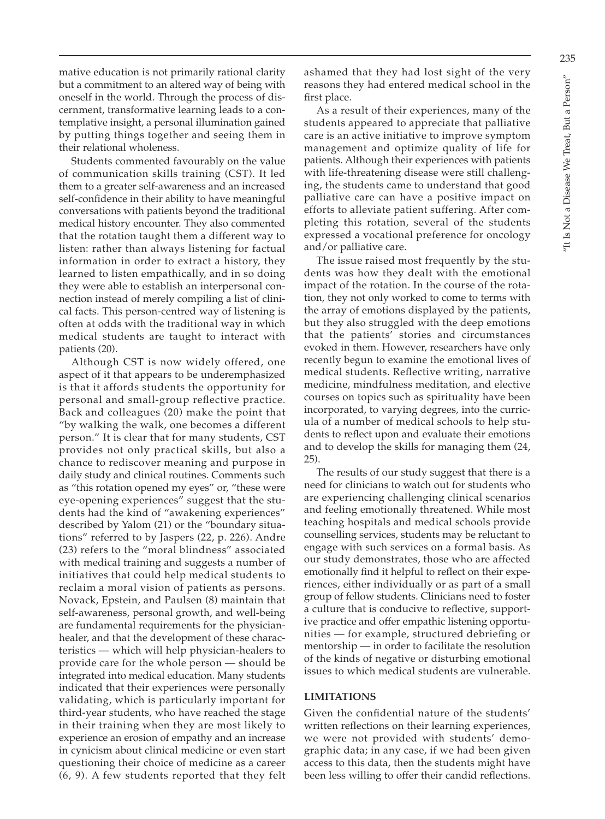mative education is not primarily rational clarity but a commitment to an altered way of being with oneself in the world. Through the process of discernment, transformative learning leads to a contemplative insight, a personal illumination gained by putting things together and seeing them in their relational wholeness.

Students commented favourably on the value of communication skills training (CST). It led them to a greater self-awareness and an increased self-confidence in their ability to have meaningful conversations with patients beyond the traditional medical history encounter. They also commented that the rotation taught them a different way to listen: rather than always listening for factual information in order to extract a history, they learned to listen empathically, and in so doing they were able to establish an interpersonal connection instead of merely compiling a list of clinical facts. This person-centred way of listening is often at odds with the traditional way in which medical students are taught to interact with patients (20).

Although CST is now widely offered, one aspect of it that appears to be underemphasized is that it affords students the opportunity for personal and small-group reflective practice. Back and colleagues (20) make the point that "by walking the walk, one becomes a different person." It is clear that for many students, CST provides not only practical skills, but also a chance to rediscover meaning and purpose in daily study and clinical routines. Comments such as "this rotation opened my eyes" or, "these were eye-opening experiences" suggest that the students had the kind of "awakening experiences" described by Yalom (21) or the "boundary situations" referred to by Jaspers (22, p. 226). Andre (23) refers to the "moral blindness" associated with medical training and suggests a number of initiatives that could help medical students to reclaim a moral vision of patients as persons. Novack, Epstein, and Paulsen (8) maintain that self-awareness, personal growth, and well-being are fundamental requirements for the physicianhealer, and that the development of these characteristics — which will help physician-healers to provide care for the whole person — should be integrated into medical education. Many students indicated that their experiences were personally validating, which is particularly important for third-year students, who have reached the stage in their training when they are most likely to experience an erosion of empathy and an increase in cynicism about clinical medicine or even start questioning their choice of medicine as a career (6, 9). A few students reported that they felt

ashamed that they had lost sight of the very reasons they had entered medical school in the first place.

As a result of their experiences, many of the students appeared to appreciate that palliative care is an active initiative to improve symptom management and optimize quality of life for patients. Although their experiences with patients with life-threatening disease were still challenging, the students came to understand that good palliative care can have a positive impact on efforts to alleviate patient suffering. After completing this rotation, several of the students expressed a vocational preference for oncology and/or palliative care.

The issue raised most frequently by the students was how they dealt with the emotional impact of the rotation. In the course of the rotation, they not only worked to come to terms with the array of emotions displayed by the patients, but they also struggled with the deep emotions that the patients' stories and circumstances evoked in them. However, researchers have only recently begun to examine the emotional lives of medical students. Reflective writing, narrative medicine, mindfulness meditation, and elective courses on topics such as spirituality have been incorporated, to varying degrees, into the curricula of a number of medical schools to help students to reflect upon and evaluate their emotions and to develop the skills for managing them (24, 25).

The results of our study suggest that there is a need for clinicians to watch out for students who are experiencing challenging clinical scenarios and feeling emotionally threatened. While most teaching hospitals and medical schools provide counselling services, students may be reluctant to engage with such services on a formal basis. As our study demonstrates, those who are affected emotionally find it helpful to reflect on their experiences, either individually or as part of a small group of fellow students. Clinicians need to foster a culture that is conducive to reflective, supportive practice and offer empathic listening opportunities — for example, structured debriefing or mentorship — in order to facilitate the resolution of the kinds of negative or disturbing emotional issues to which medical students are vulnerable.

#### **LIMITATIONS**

Given the confidential nature of the students' written reflections on their learning experiences, we were not provided with students' demographic data; in any case, if we had been given access to this data, then the students might have been less willing to offer their candid reflections.